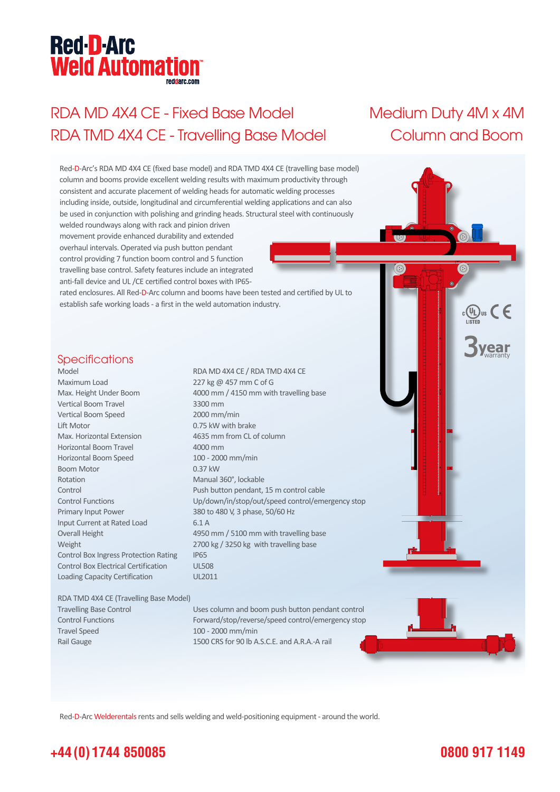# **Red-D-Arc Weld Automation®**

## RDA MD 4X4 CE - Fixed Base Model Medium Duty 4M x 4M RDA TMD 4X4 CE - Travelling Base Model Column and Boom



Red-D-Arc Welderentals rents and sells welding and weld-positioning equipment - around the world.

### **+44 (0) 1744 850085**

### **0800 917 1149**